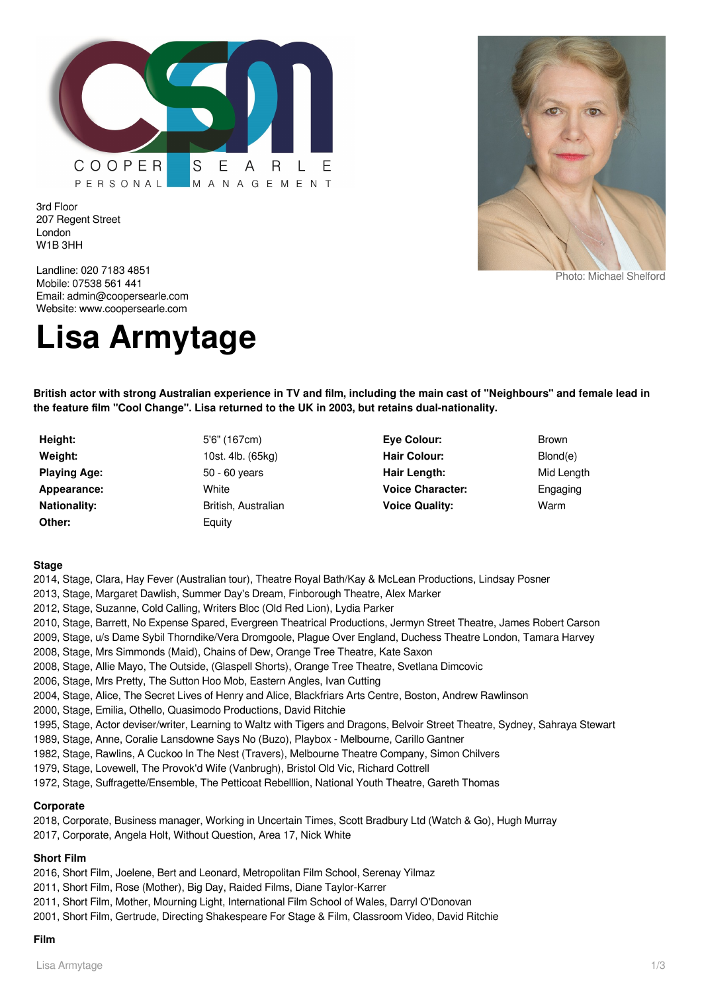

3rd Floor 207 Regent Street London W1B 3HH



Photo: Michael Shelford

Landline: 020 7183 4851 Mobile: 07538 561 441 Email: admin@coopersearle.com Website: www.coopersearle.com

# **Lisa Armytage**

**British actor with strong Australian experience in TV and film, including the main cast of "Neighbours" and female lead in the feature film "Cool Change". Lisa returned to the UK in 2003, but retains dual-nationality.**

- **Height:** 5'6" (167cm) **Playing Age:** 50 - 60 years **Appearance:** White **Other:** Equity
- **Weight:** 10st. 4lb. (65kg) **Nationality:** British, Australian
- **Eye Colour:** Brown Hair Colour: Blond(e) Hair Length: Mid Length **Voice Character:** Engaging **Voice Quality:** Warm
	-

#### **Stage**

- 2014, Stage, Clara, Hay Fever (Australian tour), Theatre Royal Bath/Kay & McLean Productions, Lindsay Posner
- 2013, Stage, Margaret Dawlish, Summer Day's Dream, Finborough Theatre, Alex Marker
- 2012, Stage, Suzanne, Cold Calling, Writers Bloc (Old Red Lion), Lydia Parker
- 2010, Stage, Barrett, No Expense Spared, Evergreen Theatrical Productions, Jermyn Street Theatre, James Robert Carson
- 2009, Stage, u/s Dame Sybil Thorndike/Vera Dromgoole, Plague Over England, Duchess Theatre London, Tamara Harvey
- 2008, Stage, Mrs Simmonds (Maid), Chains of Dew, Orange Tree Theatre, Kate Saxon
- 2008, Stage, Allie Mayo, The Outside, (Glaspell Shorts), Orange Tree Theatre, Svetlana Dimcovic
- 2006, Stage, Mrs Pretty, The Sutton Hoo Mob, Eastern Angles, Ivan Cutting
- 2004, Stage, Alice, The Secret Lives of Henry and Alice, Blackfriars Arts Centre, Boston, Andrew Rawlinson
- 2000, Stage, Emilia, Othello, Quasimodo Productions, David Ritchie
- 1995, Stage, Actor deviser/writer, Learning to Waltz with Tigers and Dragons, Belvoir Street Theatre, Sydney, Sahraya Stewart
- 1989, Stage, Anne, Coralie Lansdowne Says No (Buzo), Playbox Melbourne, Carillo Gantner
- 1982, Stage, Rawlins, A Cuckoo In The Nest (Travers), Melbourne Theatre Company, Simon Chilvers
- 1979, Stage, Lovewell, The Provok'd Wife (Vanbrugh), Bristol Old Vic, Richard Cottrell
- 1972, Stage, Suffragette/Ensemble, The Petticoat Rebelllion, National Youth Theatre, Gareth Thomas

## **Corporate**

2018, Corporate, Business manager, Working in Uncertain Times, Scott Bradbury Ltd (Watch & Go), Hugh Murray 2017, Corporate, Angela Holt, Without Question, Area 17, Nick White

#### **Short Film**

- 2016, Short Film, Joelene, Bert and Leonard, Metropolitan Film School, Serenay Yilmaz
- 2011, Short Film, Rose (Mother), Big Day, Raided Films, Diane Taylor-Karrer
- 2011, Short Film, Mother, Mourning Light, International Film School of Wales, Darryl O'Donovan
- 2001, Short Film, Gertrude, Directing Shakespeare For Stage & Film, Classroom Video, David Ritchie

#### **Film**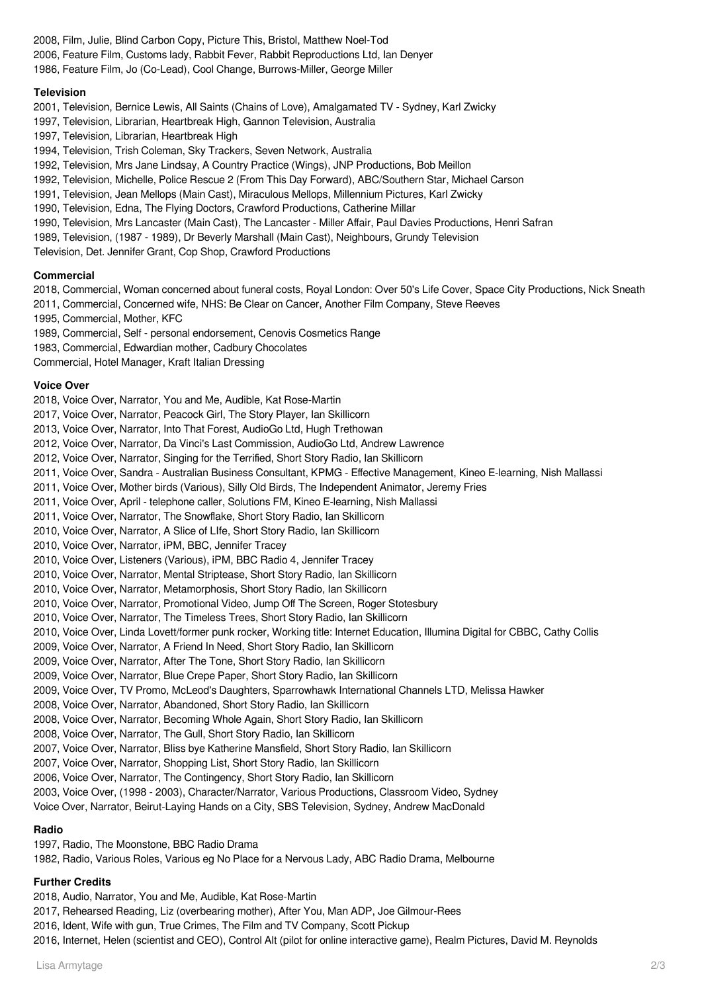- 2008, Film, Julie, Blind Carbon Copy, Picture This, Bristol, Matthew Noel-Tod
- 2006, Feature Film, Customs lady, Rabbit Fever, Rabbit Reproductions Ltd, Ian Denyer
- 1986, Feature Film, Jo (Co-Lead), Cool Change, Burrows-Miller, George Miller

## **Television**

- 2001, Television, Bernice Lewis, All Saints (Chains of Love), Amalgamated TV Sydney, Karl Zwicky
- 1997, Television, Librarian, Heartbreak High, Gannon Television, Australia
- 1997, Television, Librarian, Heartbreak High
- 1994, Television, Trish Coleman, Sky Trackers, Seven Network, Australia
- 1992, Television, Mrs Jane Lindsay, A Country Practice (Wings), JNP Productions, Bob Meillon
- 1992, Television, Michelle, Police Rescue 2 (From This Day Forward), ABC/Southern Star, Michael Carson
- 1991, Television, Jean Mellops (Main Cast), Miraculous Mellops, Millennium Pictures, Karl Zwicky
- 1990, Television, Edna, The Flying Doctors, Crawford Productions, Catherine Millar
- 1990, Television, Mrs Lancaster (Main Cast), The Lancaster Miller Affair, Paul Davies Productions, Henri Safran
- 1989, Television, (1987 1989), Dr Beverly Marshall (Main Cast), Neighbours, Grundy Television
- Television, Det. Jennifer Grant, Cop Shop, Crawford Productions

## **Commercial**

- 2018, Commercial, Woman concerned about funeral costs, Royal London: Over 50's Life Cover, Space City Productions, Nick Sneath
- 2011, Commercial, Concerned wife, NHS: Be Clear on Cancer, Another Film Company, Steve Reeves
- 1995, Commercial, Mother, KFC
- 1989, Commercial, Self personal endorsement, Cenovis Cosmetics Range
- 1983, Commercial, Edwardian mother, Cadbury Chocolates
- Commercial, Hotel Manager, Kraft Italian Dressing

## **Voice Over**

- 2018, Voice Over, Narrator, You and Me, Audible, Kat Rose-Martin
- 2017, Voice Over, Narrator, Peacock Girl, The Story Player, Ian Skillicorn
- 2013, Voice Over, Narrator, Into That Forest, AudioGo Ltd, Hugh Trethowan
- 2012, Voice Over, Narrator, Da Vinci's Last Commission, AudioGo Ltd, Andrew Lawrence
- 2012, Voice Over, Narrator, Singing for the Terrified, Short Story Radio, Ian Skillicorn
- 2011, Voice Over, Sandra Australian Business Consultant, KPMG Effective Management, Kineo E-learning, Nish Mallassi
- 2011, Voice Over, Mother birds (Various), Silly Old Birds, The Independent Animator, Jeremy Fries
- 2011, Voice Over, April telephone caller, Solutions FM, Kineo E-learning, Nish Mallassi
- 2011, Voice Over, Narrator, The Snowflake, Short Story Radio, Ian Skillicorn
- 2010, Voice Over, Narrator, A Slice of LIfe, Short Story Radio, Ian Skillicorn
- 2010, Voice Over, Narrator, iPM, BBC, Jennifer Tracey
- 2010, Voice Over, Listeners (Various), iPM, BBC Radio 4, Jennifer Tracey
- 2010, Voice Over, Narrator, Mental Striptease, Short Story Radio, Ian Skillicorn
- 2010, Voice Over, Narrator, Metamorphosis, Short Story Radio, Ian Skillicorn
- 2010, Voice Over, Narrator, Promotional Video, Jump Off The Screen, Roger Stotesbury
- 2010, Voice Over, Narrator, The Timeless Trees, Short Story Radio, Ian Skillicorn
- 2010, Voice Over, Linda Lovett/former punk rocker, Working title: Internet Education, Illumina Digital for CBBC, Cathy Collis
- 2009, Voice Over, Narrator, A Friend In Need, Short Story Radio, Ian Skillicorn
- 2009, Voice Over, Narrator, After The Tone, Short Story Radio, Ian Skillicorn
- 2009, Voice Over, Narrator, Blue Crepe Paper, Short Story Radio, Ian Skillicorn
- 2009, Voice Over, TV Promo, McLeod's Daughters, Sparrowhawk International Channels LTD, Melissa Hawker
- 2008, Voice Over, Narrator, Abandoned, Short Story Radio, Ian Skillicorn
- 2008, Voice Over, Narrator, Becoming Whole Again, Short Story Radio, Ian Skillicorn
- 2008, Voice Over, Narrator, The Gull, Short Story Radio, Ian Skillicorn
- 2007, Voice Over, Narrator, Bliss bye Katherine Mansfield, Short Story Radio, Ian Skillicorn
- 2007, Voice Over, Narrator, Shopping List, Short Story Radio, Ian Skillicorn
- 2006, Voice Over, Narrator, The Contingency, Short Story Radio, Ian Skillicorn
- 2003, Voice Over, (1998 2003), Character/Narrator, Various Productions, Classroom Video, Sydney
- Voice Over, Narrator, Beirut-Laying Hands on a City, SBS Television, Sydney, Andrew MacDonald

# **Radio**

- 1997, Radio, The Moonstone, BBC Radio Drama
- 1982, Radio, Various Roles, Various eg No Place for a Nervous Lady, ABC Radio Drama, Melbourne

# **Further Credits**

- 2018, Audio, Narrator, You and Me, Audible, Kat Rose-Martin
- 2017, Rehearsed Reading, Liz (overbearing mother), After You, Man ADP, Joe Gilmour-Rees
- 2016, Ident, Wife with gun, True Crimes, The Film and TV Company, Scott Pickup
- 2016, Internet, Helen (scientist and CEO), Control Alt (pilot for online interactive game), Realm Pictures, David M. Reynolds